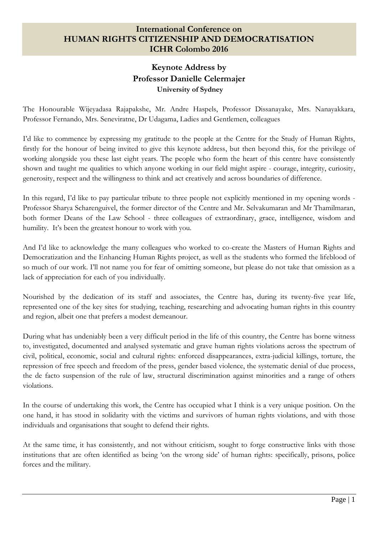## **International Conference on HUMAN RIGHTS CITIZENSHIP AND DEMOCRATISATION ICHR Colombo 2016**

## **Keynote Address by Professor Danielle Celermajer University of Sydney**

The Honourable Wijeyadasa Rajapakshe, Mr. Andre Haspels, Professor Dissanayake, Mrs. Nanayakkara, Professor Fernando, Mrs. Seneviratne, Dr Udagama, Ladies and Gentlemen, colleagues

I"d like to commence by expressing my gratitude to the people at the Centre for the Study of Human Rights, firstly for the honour of being invited to give this keynote address, but then beyond this, for the privilege of working alongside you these last eight years. The people who form the heart of this centre have consistently shown and taught me qualities to which anyone working in our field might aspire - courage, integrity, curiosity, generosity, respect and the willingness to think and act creatively and across boundaries of difference.

In this regard, I'd like to pay particular tribute to three people not explicitly mentioned in my opening words -Professor Sharya Scharenguivel, the former director of the Centre and Mr. Selvakumaran and Mr Thamilmaran, both former Deans of the Law School - three colleagues of extraordinary, grace, intelligence, wisdom and humility. It's been the greatest honour to work with you.

And I"d like to acknowledge the many colleagues who worked to co-create the Masters of Human Rights and Democratization and the Enhancing Human Rights project, as well as the students who formed the lifeblood of so much of our work. I"ll not name you for fear of omitting someone, but please do not take that omission as a lack of appreciation for each of you individually.

Nourished by the dedication of its staff and associates, the Centre has, during its twenty-five year life, represented one of the key sites for studying, teaching, researching and advocating human rights in this country and region, albeit one that prefers a modest demeanour.

During what has undeniably been a very difficult period in the life of this country, the Centre has borne witness to, investigated, documented and analysed systematic and grave human rights violations across the spectrum of civil, political, economic, social and cultural rights: enforced disappearances, extra-judicial killings, torture, the repression of free speech and freedom of the press, gender based violence, the systematic denial of due process, the de facto suspension of the rule of law, structural discrimination against minorities and a range of others violations.

In the course of undertaking this work, the Centre has occupied what I think is a very unique position. On the one hand, it has stood in solidarity with the victims and survivors of human rights violations, and with those individuals and organisations that sought to defend their rights.

At the same time, it has consistently, and not without criticism, sought to forge constructive links with those institutions that are often identified as being "on the wrong side" of human rights: specifically, prisons, police forces and the military.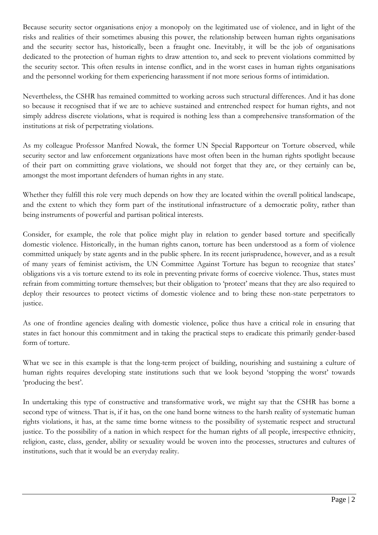Because security sector organisations enjoy a monopoly on the legitimated use of violence, and in light of the risks and realities of their sometimes abusing this power, the relationship between human rights organisations and the security sector has, historically, been a fraught one. Inevitably, it will be the job of organisations dedicated to the protection of human rights to draw attention to, and seek to prevent violations committed by the security sector. This often results in intense conflict, and in the worst cases in human rights organisations and the personnel working for them experiencing harassment if not more serious forms of intimidation.

Nevertheless, the CSHR has remained committed to working across such structural differences. And it has done so because it recognised that if we are to achieve sustained and entrenched respect for human rights, and not simply address discrete violations, what is required is nothing less than a comprehensive transformation of the institutions at risk of perpetrating violations.

As my colleague Professor Manfred Nowak, the former UN Special Rapporteur on Torture observed, while security sector and law enforcement organizations have most often been in the human rights spotlight because of their part on committing grave violations, we should not forget that they are, or they certainly can be, amongst the most important defenders of human rights in any state.

Whether they fulfill this role very much depends on how they are located within the overall political landscape, and the extent to which they form part of the institutional infrastructure of a democratic polity, rather than being instruments of powerful and partisan political interests.

Consider, for example, the role that police might play in relation to gender based torture and specifically domestic violence. Historically, in the human rights canon, torture has been understood as a form of violence committed uniquely by state agents and in the public sphere. In its recent jurisprudence, however, and as a result of many years of feminist activism, the UN Committee Against Torture has begun to recognize that states" obligations vis a vis torture extend to its role in preventing private forms of coercive violence. Thus, states must refrain from committing torture themselves; but their obligation to "protect" means that they are also required to deploy their resources to protect victims of domestic violence and to bring these non-state perpetrators to justice.

As one of frontline agencies dealing with domestic violence, police thus have a critical role in ensuring that states in fact honour this commitment and in taking the practical steps to eradicate this primarily gender-based form of torture.

What we see in this example is that the long-term project of building, nourishing and sustaining a culture of human rights requires developing state institutions such that we look beyond "stopping the worst" towards 'producing the best'.

In undertaking this type of constructive and transformative work, we might say that the CSHR has borne a second type of witness. That is, if it has, on the one hand borne witness to the harsh reality of systematic human rights violations, it has, at the same time borne witness to the possibility of systematic respect and structural justice. To the possibility of a nation in which respect for the human rights of all people, irrespective ethnicity, religion, caste, class, gender, ability or sexuality would be woven into the processes, structures and cultures of institutions, such that it would be an everyday reality.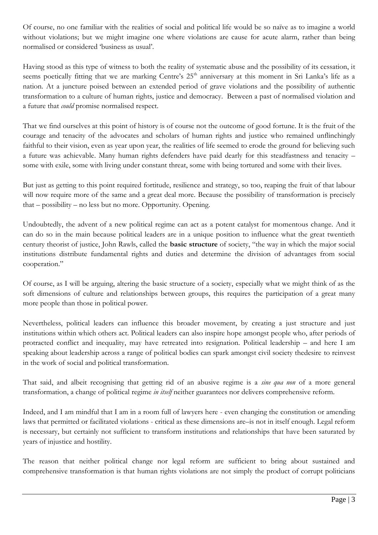Of course, no one familiar with the realities of social and political life would be so naïve as to imagine a world without violations; but we might imagine one where violations are cause for acute alarm, rather than being normalised or considered "business as usual".

Having stood as this type of witness to both the reality of systematic abuse and the possibility of its cessation, it seems poetically fitting that we are marking Centre's 25<sup>th</sup> anniversary at this moment in Sri Lanka's life as a nation. At a juncture poised between an extended period of grave violations and the possibility of authentic transformation to a culture of human rights, justice and democracy. Between a past of normalised violation and a future that *could* promise normalised respect.

That we find ourselves at this point of history is of course not the outcome of good fortune. It is the fruit of the courage and tenacity of the advocates and scholars of human rights and justice who remained unflinchingly faithful to their vision, even as year upon year, the realities of life seemed to erode the ground for believing such a future was achievable. Many human rights defenders have paid dearly for this steadfastness and tenacity – some with exile, some with living under constant threat, some with being tortured and some with their lives.

But just as getting to this point required fortitude, resilience and strategy, so too, reaping the fruit of that labour will now require more of the same and a great deal more. Because the possibility of transformation is precisely that – possibility – no less but no more. Opportunity. Opening.

Undoubtedly, the advent of a new political regime can act as a potent catalyst for momentous change. And it can do so in the main because political leaders are in a unique position to influence what the great twentieth century theorist of justice, John Rawls, called the **basic structure** of society, "the way in which the major social institutions distribute fundamental rights and duties and determine the division of advantages from social cooperation."

Of course, as I will be arguing, altering the basic structure of a society, especially what we might think of as the soft dimensions of culture and relationships between groups, this requires the participation of a great many more people than those in political power.

Nevertheless, political leaders can influence this broader movement, by creating a just structure and just institutions within which others act. Political leaders can also inspire hope amongst people who, after periods of protracted conflict and inequality, may have retreated into resignation. Political leadership – and here I am speaking about leadership across a range of political bodies can spark amongst civil society thedesire to reinvest in the work of social and political transformation.

That said, and albeit recognising that getting rid of an abusive regime is a *sine qua non* of a more general transformation, a change of political regime *in itself* neither guarantees nor delivers comprehensive reform.

Indeed, and I am mindful that I am in a room full of lawyers here - even changing the constitution or amending laws that permitted or facilitated violations - critical as these dimensions are–is not in itself enough. Legal reform is necessary, but certainly not sufficient to transform institutions and relationships that have been saturated by years of injustice and hostility.

The reason that neither political change nor legal reform are sufficient to bring about sustained and comprehensive transformation is that human rights violations are not simply the product of corrupt politicians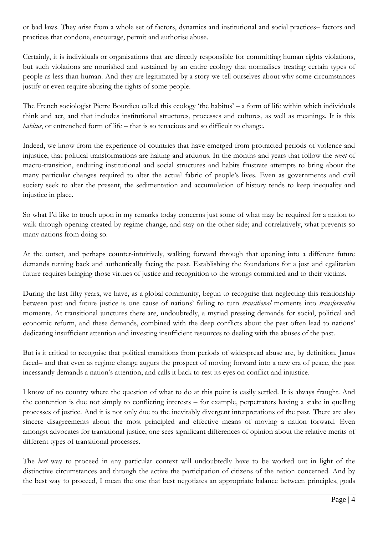or bad laws. They arise from a whole set of factors, dynamics and institutional and social practices– factors and practices that condone, encourage, permit and authorise abuse.

Certainly, it is individuals or organisations that are directly responsible for committing human rights violations, but such violations are nourished and sustained by an entire ecology that normalises treating certain types of people as less than human. And they are legitimated by a story we tell ourselves about why some circumstances justify or even require abusing the rights of some people.

The French sociologist Pierre Bourdieu called this ecology 'the habitus' – a form of life within which individuals think and act, and that includes institutional structures, processes and cultures, as well as meanings. It is this *habitus*, or entrenched form of life – that is so tenacious and so difficult to change.

Indeed, we know from the experience of countries that have emerged from protracted periods of violence and injustice, that political transformations are halting and arduous. In the months and years that follow the *event* of macro-transition, enduring institutional and social structures and habits frustrate attempts to bring about the many particular changes required to alter the actual fabric of people's lives. Even as governments and civil society seek to alter the present, the sedimentation and accumulation of history tends to keep inequality and injustice in place.

So what I"d like to touch upon in my remarks today concerns just some of what may be required for a nation to walk through opening created by regime change, and stay on the other side; and correlatively, what prevents so many nations from doing so.

At the outset, and perhaps counter-intuitively, walking forward through that opening into a different future demands turning back and authentically facing the past. Establishing the foundations for a just and egalitarian future requires bringing those virtues of justice and recognition to the wrongs committed and to their victims.

During the last fifty years, we have, as a global community, begun to recognise that neglecting this relationship between past and future justice is one cause of nations" failing to turn *transitional* moments into *transformative* moments. At transitional junctures there are, undoubtedly, a myriad pressing demands for social, political and economic reform, and these demands, combined with the deep conflicts about the past often lead to nations" dedicating insufficient attention and investing insufficient resources to dealing with the abuses of the past.

But is it critical to recognise that political transitions from periods of widespread abuse are, by definition, Janus faced– and that even as regime change augurs the prospect of moving forward into a new era of peace, the past incessantly demands a nation"s attention, and calls it back to rest its eyes on conflict and injustice.

I know of no country where the question of what to do at this point is easily settled. It is always fraught. And the contention is due not simply to conflicting interests – for example, perpetrators having a stake in quelling processes of justice. And it is not only due to the inevitably divergent interpretations of the past. There are also sincere disagreements about the most principled and effective means of moving a nation forward. Even amongst advocates for transitional justice, one sees significant differences of opinion about the relative merits of different types of transitional processes.

The *best* way to proceed in any particular context will undoubtedly have to be worked out in light of the distinctive circumstances and through the active the participation of citizens of the nation concerned. And by the best way to proceed, I mean the one that best negotiates an appropriate balance between principles, goals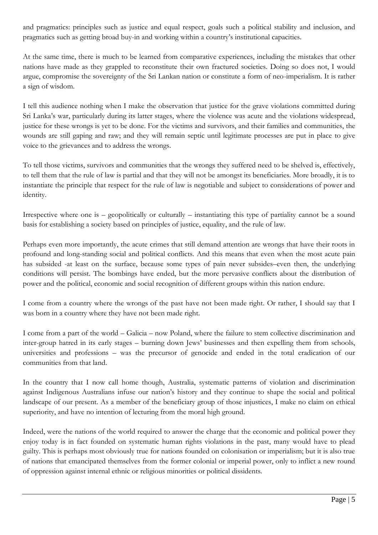and pragmatics: principles such as justice and equal respect, goals such a political stability and inclusion, and pragmatics such as getting broad buy-in and working within a country"s institutional capacities.

At the same time, there is much to be learned from comparative experiences, including the mistakes that other nations have made as they grappled to reconstitute their own fractured societies. Doing so does not, I would argue, compromise the sovereignty of the Sri Lankan nation or constitute a form of neo-imperialism. It is rather a sign of wisdom.

I tell this audience nothing when I make the observation that justice for the grave violations committed during Sri Lanka"s war, particularly during its latter stages, where the violence was acute and the violations widespread, justice for these wrongs is yet to be done. For the victims and survivors, and their families and communities, the wounds are still gaping and raw; and they will remain septic until legitimate processes are put in place to give voice to the grievances and to address the wrongs.

To tell those victims, survivors and communities that the wrongs they suffered need to be shelved is, effectively, to tell them that the rule of law is partial and that they will not be amongst its beneficiaries. More broadly, it is to instantiate the principle that respect for the rule of law is negotiable and subject to considerations of power and identity.

Irrespective where one is – geopolitically or culturally – instantiating this type of partiality cannot be a sound basis for establishing a society based on principles of justice, equality, and the rule of law.

Perhaps even more importantly, the acute crimes that still demand attention are wrongs that have their roots in profound and long-standing social and political conflicts. And this means that even when the most acute pain has subsided -at least on the surface, because some types of pain never subsides–even then, the underlying conditions will persist. The bombings have ended, but the more pervasive conflicts about the distribution of power and the political, economic and social recognition of different groups within this nation endure.

I come from a country where the wrongs of the past have not been made right. Or rather, I should say that I was born in a country where they have not been made right.

I come from a part of the world – Galicia – now Poland, where the failure to stem collective discrimination and inter-group hatred in its early stages – burning down Jews" businesses and then expelling them from schools, universities and professions – was the precursor of genocide and ended in the total eradication of our communities from that land.

In the country that I now call home though, Australia, systematic patterns of violation and discrimination against Indigenous Australians infuse our nation"s history and they continue to shape the social and political landscape of our present. As a member of the beneficiary group of those injustices, I make no claim on ethical superiority, and have no intention of lecturing from the moral high ground.

Indeed, were the nations of the world required to answer the charge that the economic and political power they enjoy today is in fact founded on systematic human rights violations in the past, many would have to plead guilty. This is perhaps most obviously true for nations founded on colonisation or imperialism; but it is also true of nations that emancipated themselves from the former colonial or imperial power, only to inflict a new round of oppression against internal ethnic or religious minorities or political dissidents.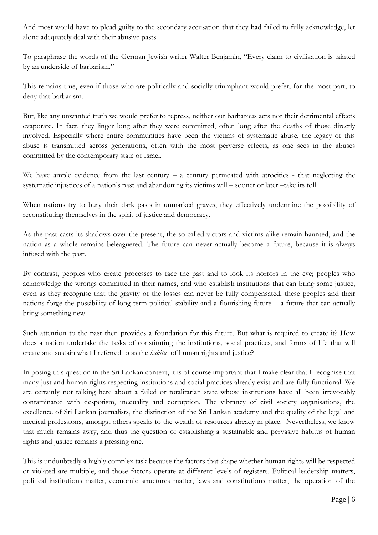And most would have to plead guilty to the secondary accusation that they had failed to fully acknowledge, let alone adequately deal with their abusive pasts.

To paraphrase the words of the German Jewish writer Walter Benjamin, "Every claim to civilization is tainted by an underside of barbarism."

This remains true, even if those who are politically and socially triumphant would prefer, for the most part, to deny that barbarism.

But, like any unwanted truth we would prefer to repress, neither our barbarous acts nor their detrimental effects evaporate. In fact, they linger long after they were committed, often long after the deaths of those directly involved. Especially where entire communities have been the victims of systematic abuse, the legacy of this abuse is transmitted across generations, often with the most perverse effects, as one sees in the abuses committed by the contemporary state of Israel.

We have ample evidence from the last century – a century permeated with atrocities - that neglecting the systematic injustices of a nation's past and abandoning its victims will – sooner or later –take its toll.

When nations try to bury their dark pasts in unmarked graves, they effectively undermine the possibility of reconstituting themselves in the spirit of justice and democracy.

As the past casts its shadows over the present, the so-called victors and victims alike remain haunted, and the nation as a whole remains beleaguered. The future can never actually become a future, because it is always infused with the past.

By contrast, peoples who create processes to face the past and to look its horrors in the eye; peoples who acknowledge the wrongs committed in their names, and who establish institutions that can bring some justice, even as they recognise that the gravity of the losses can never be fully compensated, these peoples and their nations forge the possibility of long term political stability and a flourishing future – a future that can actually bring something new.

Such attention to the past then provides a foundation for this future. But what is required to create it? How does a nation undertake the tasks of constituting the institutions, social practices, and forms of life that will create and sustain what I referred to as the *habitus* of human rights and justice?

In posing this question in the Sri Lankan context, it is of course important that I make clear that I recognise that many just and human rights respecting institutions and social practices already exist and are fully functional. We are certainly not talking here about a failed or totalitarian state whose institutions have all been irrevocably contaminated with despotism, inequality and corruption. The vibrancy of civil society organisations, the excellence of Sri Lankan journalists, the distinction of the Sri Lankan academy and the quality of the legal and medical professions, amongst others speaks to the wealth of resources already in place. Nevertheless, we know that much remains awry, and thus the question of establishing a sustainable and pervasive habitus of human rights and justice remains a pressing one.

This is undoubtedly a highly complex task because the factors that shape whether human rights will be respected or violated are multiple, and those factors operate at different levels of registers. Political leadership matters, political institutions matter, economic structures matter, laws and constitutions matter, the operation of the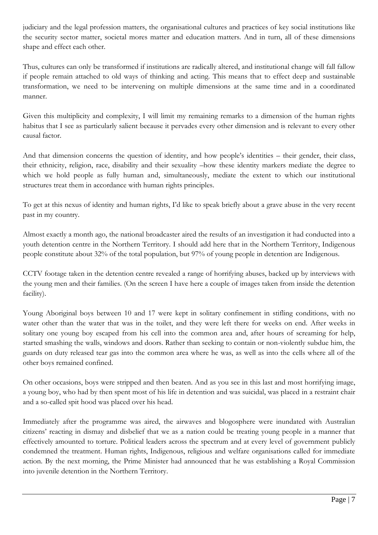judiciary and the legal profession matters, the organisational cultures and practices of key social institutions like the security sector matter, societal mores matter and education matters. And in turn, all of these dimensions shape and effect each other.

Thus, cultures can only be transformed if institutions are radically altered, and institutional change will fall fallow if people remain attached to old ways of thinking and acting. This means that to effect deep and sustainable transformation, we need to be intervening on multiple dimensions at the same time and in a coordinated manner.

Given this multiplicity and complexity, I will limit my remaining remarks to a dimension of the human rights habitus that I see as particularly salient because it pervades every other dimension and is relevant to every other causal factor.

And that dimension concerns the question of identity, and how people"s identities – their gender, their class, their ethnicity, religion, race, disability and their sexuality –how these identity markers mediate the degree to which we hold people as fully human and, simultaneously, mediate the extent to which our institutional structures treat them in accordance with human rights principles.

To get at this nexus of identity and human rights, I"d like to speak briefly about a grave abuse in the very recent past in my country.

Almost exactly a month ago, the national broadcaster aired the results of an investigation it had conducted into a youth detention centre in the Northern Territory. I should add here that in the Northern Territory, Indigenous people constitute about 32% of the total population, but 97% of young people in detention are Indigenous.

CCTV footage taken in the detention centre revealed a range of horrifying abuses, backed up by interviews with the young men and their families. (On the screen I have here a couple of images taken from inside the detention facility).

Young Aboriginal boys between 10 and 17 were kept in solitary confinement in stifling conditions, with no water other than the water that was in the toilet, and they were left there for weeks on end. After weeks in solitary one young boy escaped from his cell into the common area and, after hours of screaming for help, started smashing the walls, windows and doors. Rather than seeking to contain or non-violently subdue him, the guards on duty released tear gas into the common area where he was, as well as into the cells where all of the other boys remained confined.

On other occasions, boys were stripped and then beaten. And as you see in this last and most horrifying image, a young boy, who had by then spent most of his life in detention and was suicidal, was placed in a restraint chair and a so-called spit hood was placed over his head.

Immediately after the programme was aired, the airwaves and blogosphere were inundated with Australian citizens" reacting in dismay and disbelief that we as a nation could be treating young people in a manner that effectively amounted to torture. Political leaders across the spectrum and at every level of government publicly condemned the treatment. Human rights, Indigenous, religious and welfare organisations called for immediate action. By the next morning, the Prime Minister had announced that he was establishing a Royal Commission into juvenile detention in the Northern Territory.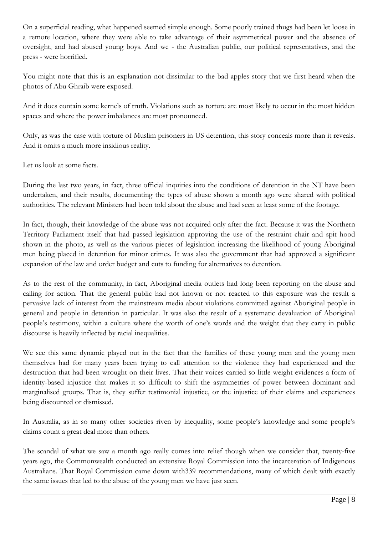On a superficial reading, what happened seemed simple enough. Some poorly trained thugs had been let loose in a remote location, where they were able to take advantage of their asymmetrical power and the absence of oversight, and had abused young boys. And we - the Australian public, our political representatives, and the press - were horrified.

You might note that this is an explanation not dissimilar to the bad apples story that we first heard when the photos of Abu Ghraib were exposed.

And it does contain some kernels of truth. Violations such as torture are most likely to occur in the most hidden spaces and where the power imbalances are most pronounced.

Only, as was the case with torture of Muslim prisoners in US detention, this story conceals more than it reveals. And it omits a much more insidious reality.

Let us look at some facts.

During the last two years, in fact, three official inquiries into the conditions of detention in the NT have been undertaken, and their results, documenting the types of abuse shown a month ago were shared with political authorities. The relevant Ministers had been told about the abuse and had seen at least some of the footage.

In fact, though, their knowledge of the abuse was not acquired only after the fact. Because it was the Northern Territory Parliament itself that had passed legislation approving the use of the restraint chair and spit hood shown in the photo, as well as the various pieces of legislation increasing the likelihood of young Aboriginal men being placed in detention for minor crimes. It was also the government that had approved a significant expansion of the law and order budget and cuts to funding for alternatives to detention.

As to the rest of the community, in fact, Aboriginal media outlets had long been reporting on the abuse and calling for action. That the general public had not known or not reacted to this exposure was the result a pervasive lack of interest from the mainstream media about violations committed against Aboriginal people in general and people in detention in particular. It was also the result of a systematic devaluation of Aboriginal people"s testimony, within a culture where the worth of one"s words and the weight that they carry in public discourse is heavily inflected by racial inequalities.

We see this same dynamic played out in the fact that the families of these young men and the young men themselves had for many years been trying to call attention to the violence they had experienced and the destruction that had been wrought on their lives. That their voices carried so little weight evidences a form of identity-based injustice that makes it so difficult to shift the asymmetries of power between dominant and marginalised groups. That is, they suffer testimonial injustice, or the injustice of their claims and experiences being discounted or dismissed.

In Australia, as in so many other societies riven by inequality, some people's knowledge and some people's claims count a great deal more than others.

The scandal of what we saw a month ago really comes into relief though when we consider that, twenty-five years ago, the Commonwealth conducted an extensive Royal Commission into the incarceration of Indigenous Australians. That Royal Commission came down with339 recommendations, many of which dealt with exactly the same issues that led to the abuse of the young men we have just seen.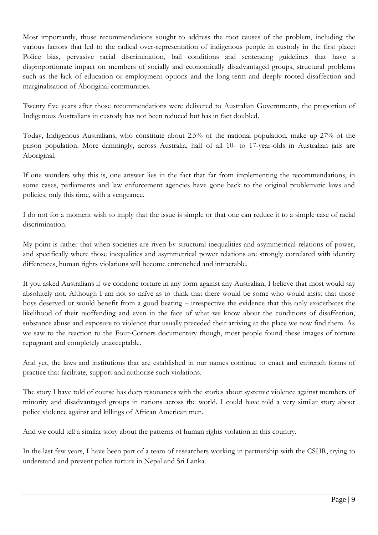Most importantly, those recommendations sought to address the root causes of the problem, including the various factors that led to the radical over-representation of indigenous people in custody in the first place: Police bias, pervasive racial discrimination, bail conditions and sentencing guidelines that have a disproportionate impact on members of socially and economically disadvantaged groups, structural problems such as the lack of education or employment options and the long-term and deeply rooted disaffection and marginalisation of Aboriginal communities.

Twenty five years after those recommendations were delivered to Australian Governments, the proportion of Indigenous Australians in custody has not been reduced but has in fact doubled.

Today, Indigenous Australians, who constitute about 2.5% of the national population, make up 27% of the prison population. More damningly, across Australia, half of all 10- to 17-year-olds in Australian jails are Aboriginal.

If one wonders why this is, one answer lies in the fact that far from implementing the recommendations, in some cases, parliaments and law enforcement agencies have gone back to the original problematic laws and policies, only this time, with a vengeance.

I do not for a moment wish to imply that the issue is simple or that one can reduce it to a simple case of racial discrimination.

My point is rather that when societies are riven by structural inequalities and asymmetrical relations of power, and specifically where those inequalities and asymmetrical power relations are strongly correlated with identity differences, human rights violations will become entrenched and intractable.

If you asked Australians if we condone torture in any form against any Australian, I believe that most would say absolutely not. Although I am not so naïve as to think that there would be some who would insist that those boys deserved or would benefit from a good beating – irrespective the evidence that this only exacerbates the likelihood of their reoffending and even in the face of what we know about the conditions of disaffection, substance abuse and exposure to violence that usually preceded their arriving at the place we now find them. As we saw to the reaction to the Four-Corners documentary though, most people found these images of torture repugnant and completely unacceptable.

And yet, the laws and institutions that are established in our names continue to enact and entrench forms of practice that facilitate, support and authorise such violations.

The story I have told of course has deep resonances with the stories about systemic violence against members of minority and disadvantaged groups in nations across the world. I could have told a very similar story about police violence against and killings of African American men.

And we could tell a similar story about the patterns of human rights violation in this country.

In the last few years, I have been part of a team of researchers working in partnership with the CSHR, trying to understand and prevent police torture in Nepal and Sri Lanka.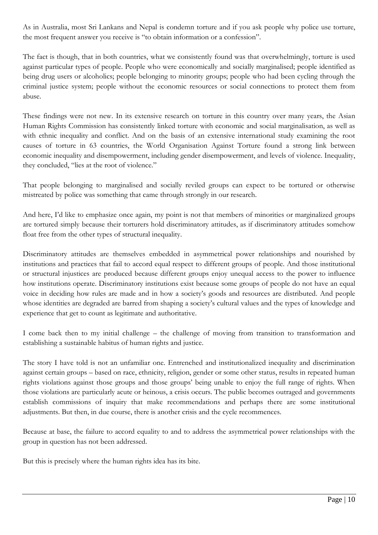As in Australia, most Sri Lankans and Nepal is condemn torture and if you ask people why police use torture, the most frequent answer you receive is "to obtain information or a confession".

The fact is though, that in both countries, what we consistently found was that overwhelmingly, torture is used against particular types of people. People who were economically and socially marginalised; people identified as being drug users or alcoholics; people belonging to minority groups; people who had been cycling through the criminal justice system; people without the economic resources or social connections to protect them from abuse.

These findings were not new. In its extensive research on torture in this country over many years, the Asian Human Rights Commission has consistently linked torture with economic and social marginalisation, as well as with ethnic inequality and conflict. And on the basis of an extensive international study examining the root causes of torture in 63 countries, the World Organisation Against Torture found a strong link between economic inequality and disempowerment, including gender disempowerment, and levels of violence. Inequality, they concluded, "lies at the root of violence."

That people belonging to marginalised and socially reviled groups can expect to be tortured or otherwise mistreated by police was something that came through strongly in our research.

And here, I'd like to emphasize once again, my point is not that members of minorities or marginalized groups are tortured simply because their torturers hold discriminatory attitudes, as if discriminatory attitudes somehow float free from the other types of structural inequality.

Discriminatory attitudes are themselves embedded in asymmetrical power relationships and nourished by institutions and practices that fail to accord equal respect to different groups of people. And those institutional or structural injustices are produced because different groups enjoy unequal access to the power to influence how institutions operate. Discriminatory institutions exist because some groups of people do not have an equal voice in deciding how rules are made and in how a society"s goods and resources are distributed. And people whose identities are degraded are barred from shaping a society's cultural values and the types of knowledge and experience that get to count as legitimate and authoritative.

I come back then to my initial challenge – the challenge of moving from transition to transformation and establishing a sustainable habitus of human rights and justice.

The story I have told is not an unfamiliar one. Entrenched and institutionalized inequality and discrimination against certain groups – based on race, ethnicity, religion, gender or some other status, results in repeated human rights violations against those groups and those groups' being unable to enjoy the full range of rights. When those violations are particularly acute or heinous, a crisis occurs. The public becomes outraged and governments establish commissions of inquiry that make recommendations and perhaps there are some institutional adjustments. But then, in due course, there is another crisis and the cycle recommences.

Because at base, the failure to accord equality to and to address the asymmetrical power relationships with the group in question has not been addressed.

But this is precisely where the human rights idea has its bite.